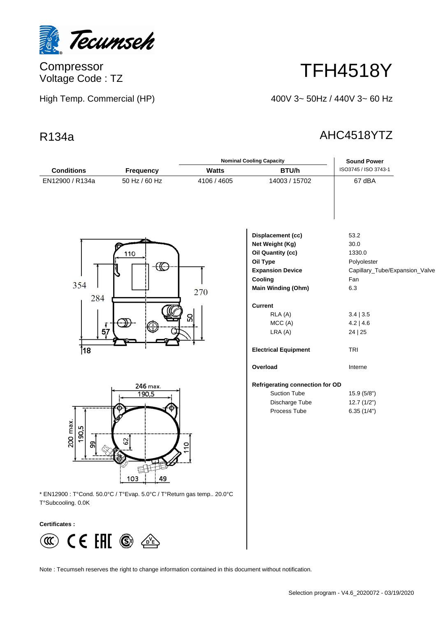

Compressor Voltage Code : TZ

High Temp. Commercial (HP)

## TFH4518Y

400V 3~ 50Hz / 440V 3~ 60 Hz

## R134a AHC4518YTZ

|                             |                                                                       |                | <b>Nominal Cooling Capacity</b>                                                                                                                                                     | <b>Sound Power</b>                                                                                                           |
|-----------------------------|-----------------------------------------------------------------------|----------------|-------------------------------------------------------------------------------------------------------------------------------------------------------------------------------------|------------------------------------------------------------------------------------------------------------------------------|
| <b>Conditions</b>           | <b>Frequency</b>                                                      | <b>Watts</b>   | BTU/h                                                                                                                                                                               | ISO3745 / ISO 3743-1                                                                                                         |
| EN12900 / R134a             | 50 Hz / 60 Hz                                                         | 4106 / 4605    | 14003 / 15702                                                                                                                                                                       | 67 dBA                                                                                                                       |
| 354<br>284<br>57            | 110                                                                   | 270<br>ន       | Displacement (cc)<br>Net Weight (Kg)<br>Oil Quantity (cc)<br>Oil Type<br><b>Expansion Device</b><br>Cooling<br>Main Winding (Ohm)<br><b>Current</b><br>RLA (A)<br>MCC(A)<br>LRA (A) | 53.2<br>30.0<br>1330.0<br>Polyolester<br>Capillary_Tube/Expansion_Valve<br>Fan<br>6.3<br>3.4   3.5<br>$4.2$   4.6<br>24   25 |
| 18∫                         |                                                                       |                | <b>Electrical Equipment</b><br>Overload                                                                                                                                             | TRI<br>Interne                                                                                                               |
|                             |                                                                       |                |                                                                                                                                                                                     |                                                                                                                              |
|                             | 246 max.                                                              |                | Refrigerating connection for OD                                                                                                                                                     |                                                                                                                              |
|                             | 190,5                                                                 |                | <b>Suction Tube</b>                                                                                                                                                                 | 15.9 (5/8")                                                                                                                  |
| 200 max.<br>190,5<br>8      | 29<br>103<br>49                                                       | $\overline{c}$ | Discharge Tube<br>Process Tube                                                                                                                                                      | 12.7(1/2")<br>6.35(1/4")                                                                                                     |
| T°Subcooling. 0.0K          | * EN12900 : T°Cond. 50.0°C / T°Evap. 5.0°C / T°Return gas temp 20.0°C |                |                                                                                                                                                                                     |                                                                                                                              |
| <b>Certificates:</b>        |                                                                       |                |                                                                                                                                                                                     |                                                                                                                              |
| $\left(\mathfrak{A}\right)$ | CE EFII <sup>⑥</sup> <i>△</i>                                         |                |                                                                                                                                                                                     |                                                                                                                              |

Note : Tecumseh reserves the right to change information contained in this document without notification.